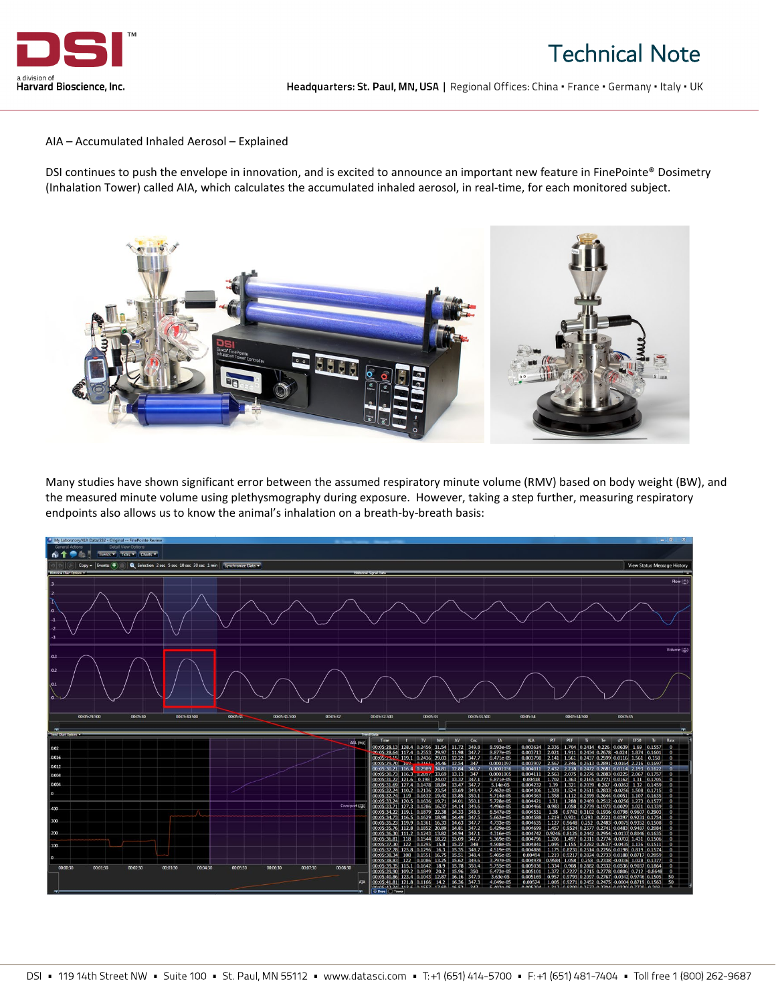

## Technical Note

Headquarters: St. Paul, MN, USA | Regional Offices: China · France · Germany · Italy · UK

AIA – Accumulated Inhaled Aerosol – Explained

DSI continues to push the envelope in innovation, and is excited to announce an important new feature in FinePointe® Dosimetry (Inhalation Tower) called AIA, which calculates the accumulated inhaled aerosol, in real-time, for each monitored subject.



Many studies have shown significant error between the assumed respiratory minute volume (RMV) based on body weight (BW), and the measured minute volume using plethysmography during exposure. However, taking a step further, measuring respiratory endpoints also allows us to know the animal's inhalation on a breath-by-breath basis: